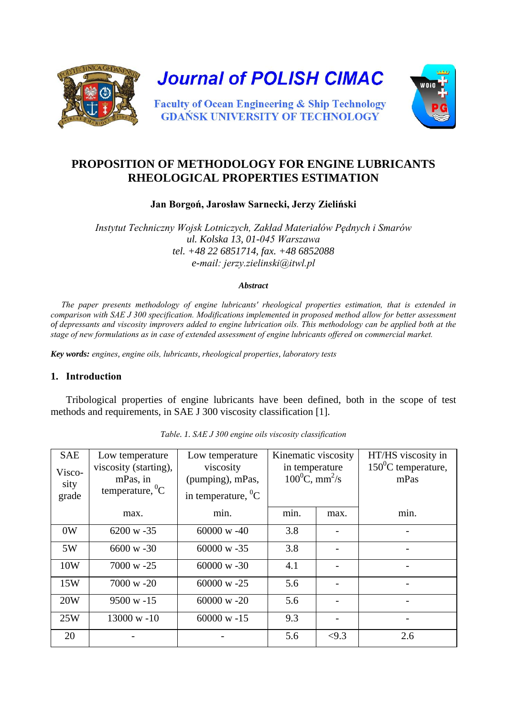

# **PROPOSITION OF METHODOLOGY FOR ENGINE LUBRICANTS RHEOLOGICAL PROPERTIES ESTIMATION**

**Jan Borgoń, Jarosław Sarnecki, Jerzy Zieliński**

*Instytut Techniczny Wojsk Lotniczych, Zakład Materiałów Pędnych i Smarów ul. Kolska 13, 01-045 Warszawa tel. +48 22 6851714, fax. +48 6852088 e-mail: [jerzy.zielinski@itwl.pl](mailto:jerzy.zielinski@itwl.pl)*

#### *Abstract*

 *The paper presents methodology of engine lubricants' rheological properties estimation, that is extended in comparison with SAE J 300 specification. Modifications implemented in proposed method allow for better assessment of depressants and viscosity improvers added to engine lubrication oils. This methodology can be applied both at the stage of new formulations as in case of extended assessment of engine lubricants offered on commercial market.*

*Key words: engines, engine oils, lubricants, rheological properties, laboratory tests*

#### **1. Introduction**

Tribological properties of engine lubricants have been defined, both in the scope of test methods and requirements, in SAE J 300 viscosity classification [1].

| <b>SAE</b><br>Visco-<br>sity<br>grade | Low temperature<br>viscosity (starting),<br>mPas, in<br>temperature, ${}^{0}C$ | Low temperature<br>viscosity<br>(pumping), mPas,<br>in temperature, ${}^{0}C$ | Kinematic viscosity<br>in temperature<br>$100^0C$ , mm <sup>2</sup> /s |       | HT/HS viscosity in<br>$150^0$ C temperature,<br>mPas |
|---------------------------------------|--------------------------------------------------------------------------------|-------------------------------------------------------------------------------|------------------------------------------------------------------------|-------|------------------------------------------------------|
|                                       | max.                                                                           | min.                                                                          | min.                                                                   | max.  | min.                                                 |
| 0W                                    | $6200 \text{ w } -35$                                                          | $60000 \text{ w } -40$                                                        | 3.8                                                                    |       |                                                      |
| 5W                                    | $6600 \text{ w} - 30$                                                          | $60000 \text{ w } -35$                                                        | 3.8                                                                    |       |                                                      |
| 10W                                   | $7000 \text{ w } -25$                                                          | $60000 \text{ w } -30$                                                        | 4.1                                                                    |       |                                                      |
| 15W                                   | $7000 \text{ w} - 20$                                                          | $60000 \text{ w } -25$                                                        | 5.6                                                                    |       |                                                      |
| 20W                                   | $9500 \text{ w} - 15$                                                          | $60000 \text{ w} - 20$                                                        | 5.6                                                                    |       |                                                      |
| 25W                                   | $13000 \text{ w} - 10$                                                         | $60000 \text{ w} - 15$                                                        | 9.3                                                                    |       |                                                      |
| 20                                    |                                                                                |                                                                               | 5.6                                                                    | < 9.3 | 2.6                                                  |

*Table. 1. SAE J 300 engine oils viscosity classification*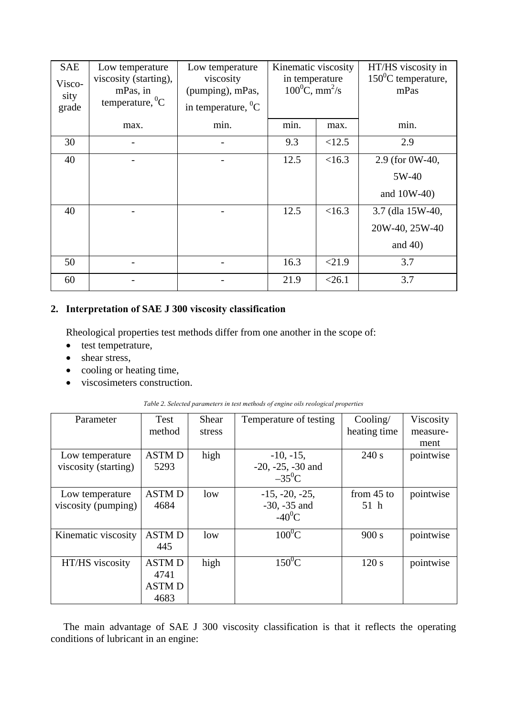| <b>SAE</b><br>Visco-<br>sity<br>grade | Low temperature<br>viscosity (starting),<br>mPas, in<br>temperature, ${}^{0}C$ | Low temperature<br>viscosity<br>(pumping), mPas,<br>in temperature, ${}^{0}C$ | Kinematic viscosity<br>in temperature<br>$100^0C$ , mm <sup>2</sup> /s |        | HT/HS viscosity in<br>$150^0$ C temperature,<br>mPas |  |
|---------------------------------------|--------------------------------------------------------------------------------|-------------------------------------------------------------------------------|------------------------------------------------------------------------|--------|------------------------------------------------------|--|
|                                       | max.                                                                           | min.                                                                          | min.                                                                   | max.   | min.                                                 |  |
| 30                                    |                                                                                |                                                                               | 9.3                                                                    | <12.5  | 2.9                                                  |  |
| 40                                    |                                                                                |                                                                               | 12.5                                                                   | <16.3  | 2.9 (for 0W-40,                                      |  |
|                                       |                                                                                |                                                                               |                                                                        |        | 5W-40                                                |  |
|                                       |                                                                                |                                                                               |                                                                        |        | and 10W-40)                                          |  |
| 40                                    |                                                                                |                                                                               | 12.5                                                                   | <16.3  | 3.7 (dla 15W-40,                                     |  |
|                                       |                                                                                |                                                                               |                                                                        |        | 20W-40, 25W-40                                       |  |
|                                       |                                                                                |                                                                               |                                                                        |        | and $40$ )                                           |  |
| 50                                    |                                                                                |                                                                               | 16.3                                                                   | < 21.9 | 3.7                                                  |  |
| 60                                    |                                                                                |                                                                               | 21.9                                                                   | < 26.1 | 3.7                                                  |  |

# **2. Interpretation of SAE J 300 viscosity classification**

Rheological properties test methods differ from one another in the scope of:

- test tempetrature,
- shear stress,
- cooling or heating time,
- viscosimeters construction.

| Parameter            | Test         | Shear  | Temperature of testing | $\text{Cooling}/$ | Viscosity |
|----------------------|--------------|--------|------------------------|-------------------|-----------|
|                      | method       | stress |                        | heating time      | measure-  |
|                      |              |        |                        |                   | ment      |
| Low temperature      | <b>ASTMD</b> | high   | $-10, -15,$            | 240 s             | pointwise |
| viscosity (starting) | 5293         |        | $-20, -25, -30$ and    |                   |           |
|                      |              |        | $-35^0C$               |                   |           |
| Low temperature      | <b>ASTMD</b> | low    | $-15, -20, -25,$       | from $45$ to      | pointwise |
| viscosity (pumping)  | 4684         |        | $-30, -35$ and         | 51 h              |           |
|                      |              |        | $-40^0C$               |                   |           |
| Kinematic viscosity  | <b>ASTMD</b> | low    | $100^0C$               | 900 s             | pointwise |
|                      | 445          |        |                        |                   |           |
| HT/HS viscosity      | <b>ASTMD</b> | high   | $150^0C$               | 120 s             | pointwise |
|                      | 4741         |        |                        |                   |           |
|                      | <b>ASTMD</b> |        |                        |                   |           |
|                      | 4683         |        |                        |                   |           |

 The main advantage of SAE J 300 viscosity classification is that it reflects the operating conditions of lubricant in an engine: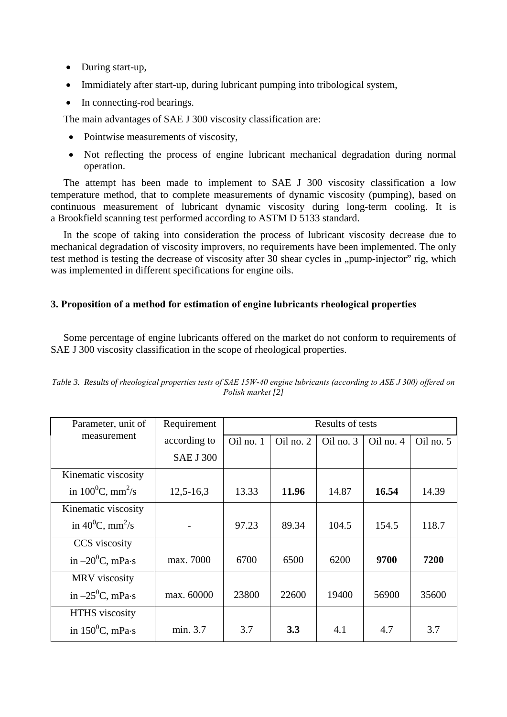- During start-up,
- Immidiately after start-up, during lubricant pumping into tribological system,
- In connecting-rod bearings.

The main advantages of SAE J 300 viscosity classification are:

- Pointwise measurements of viscosity,
- Not reflecting the process of engine lubricant mechanical degradation during normal operation.

 The attempt has been made to implement to SAE J 300 viscosity classification a low temperature method, that to complete measurements of dynamic viscosity (pumping), based on continuous measurement of lubricant dynamic viscosity during long-term cooling. It is a Brookfield scanning test performed according to ASTM D 5133 standard.

 In the scope of taking into consideration the process of lubricant viscosity decrease due to mechanical degradation of viscosity improvers, no requirements have been implemented. The only test method is testing the decrease of viscosity after 30 shear cycles in "pump-injector" rig, which was implemented in different specifications for engine oils.

## **3. Proposition of a method for estimation of engine lubricants rheological properties**

 Some percentage of engine lubricants offered on the market do not conform to requirements of SAE J 300 viscosity classification in the scope of rheological properties.

| Parameter, unit of                     | Requirement      | Results of tests |           |           |           |           |  |
|----------------------------------------|------------------|------------------|-----------|-----------|-----------|-----------|--|
| measurement                            | according to     | Oil no. 1        | Oil no. 2 | Oil no. 3 | Oil no. 4 | Oil no. 5 |  |
|                                        | <b>SAE J 300</b> |                  |           |           |           |           |  |
| Kinematic viscosity                    |                  |                  |           |           |           |           |  |
| in $100^{\circ}$ C, mm <sup>2</sup> /s | $12,5 - 16,3$    | 13.33            | 11.96     | 14.87     | 16.54     | 14.39     |  |
| Kinematic viscosity                    |                  |                  |           |           |           |           |  |
| in $40^{\circ}$ C, mm <sup>2</sup> /s  |                  | 97.23            | 89.34     | 104.5     | 154.5     | 118.7     |  |
| CCS viscosity                          |                  |                  |           |           |           |           |  |
| in $-20^0C$ , mPa·s                    | max. 7000        | 6700             | 6500      | 6200      | 9700      | 7200      |  |
| MRV viscosity                          |                  |                  |           |           |           |           |  |
| in $-25^{\circ}$ C, mPa·s              | max. 60000       | 23800            | 22600     | 19400     | 56900     | 35600     |  |
| HTHS viscosity                         |                  |                  |           |           |           |           |  |
| in $150^0$ C, mPa·s                    | min. 3.7         | 3.7              | 3.3       | 4.1       | 4.7       | 3.7       |  |

*Table 3. Results of rheological properties tests of SAE 15W-40 engine lubricants (according to ASE J 300) offered on Polish market [2]*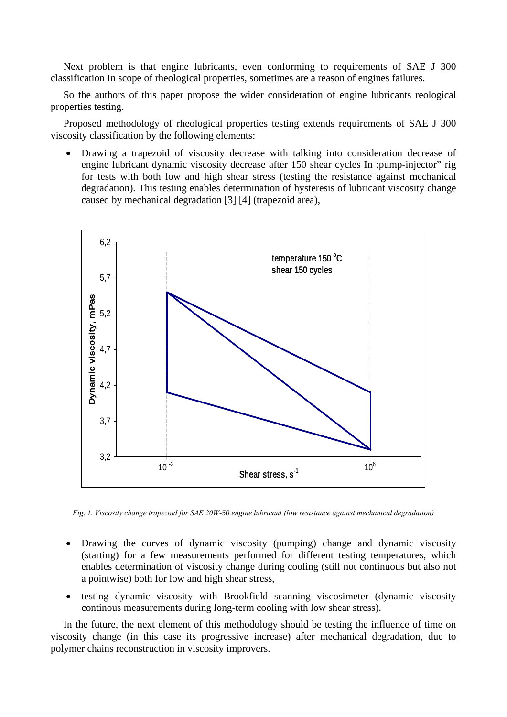Next problem is that engine lubricants, even conforming to requirements of SAE J 300 classification In scope of rheological properties, sometimes are a reason of engines failures.

 So the authors of this paper propose the wider consideration of engine lubricants reological properties testing.

 Proposed methodology of rheological properties testing extends requirements of SAE J 300 viscosity classification by the following elements:

• Drawing a trapezoid of viscosity decrease with talking into consideration decrease of engine lubricant dynamic viscosity decrease after 150 shear cycles In :pump-injector" rig for tests with both low and high shear stress (testing the resistance against mechanical degradation). This testing enables determination of hysteresis of lubricant viscosity change caused by mechanical degradation [3] [4] (trapezoid area),



*Fig. 1. Viscosity change trapezoid for SAE 20W-50 engine lubricant (low resistance against mechanical degradation)*

- Drawing the curves of dynamic viscosity (pumping) change and dynamic viscosity (starting) for a few measurements performed for different testing temperatures, which enables determination of viscosity change during cooling (still not continuous but also not a pointwise) both for low and high shear stress,
- testing dynamic viscosity with Brookfield scanning viscosimeter (dynamic viscosity continous measurements during long-term cooling with low shear stress).

 In the future, the next element of this methodology should be testing the influence of time on viscosity change (in this case its progressive increase) after mechanical degradation, due to polymer chains reconstruction in viscosity improvers.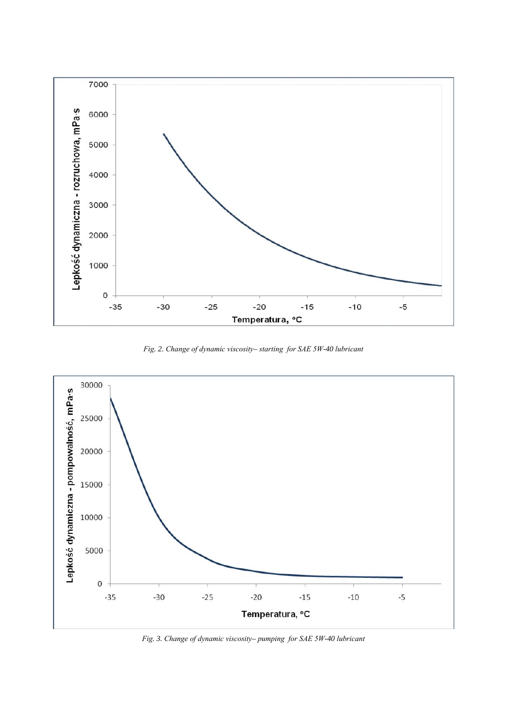

*Fig. 2. Change of dynamic viscosity– starting for SAE 5W-40 lubricant*



*Fig. 3. Change of dynamic viscosity– pumping for SAE 5W-40 lubricant*